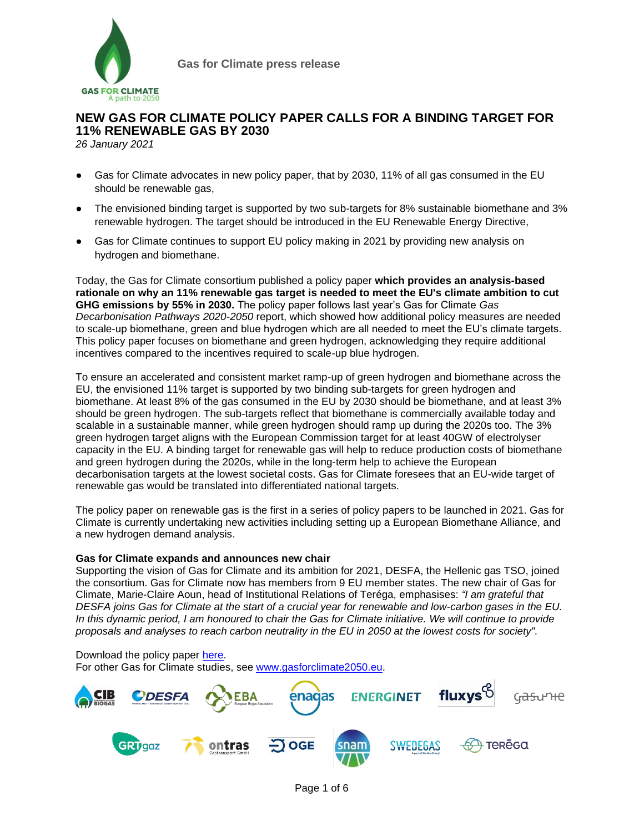

# **NEW GAS FOR CLIMATE POLICY PAPER CALLS FOR A BINDING TARGET FOR 11% RENEWABLE GAS BY 2030**

*26 January 2021*

- Gas for Climate advocates in new policy paper, that by 2030, 11% of all gas consumed in the EU should be renewable gas,
- The envisioned binding target is supported by two sub-targets for 8% sustainable biomethane and 3% renewable hydrogen. The target should be introduced in the EU Renewable Energy Directive,
- Gas for Climate continues to support EU policy making in 2021 by providing new analysis on hydrogen and biomethane.

Today, the Gas for Climate consortium published a policy paper **which provides an analysis-based rationale on why an 11% renewable gas target is needed to meet the EU's climate ambition to cut GHG emissions by 55% in 2030.** The policy paper follows last year's Gas for Climate *Gas Decarbonisation Pathways 2020-2050* report, which showed how additional policy measures are needed to scale-up biomethane, green and blue hydrogen which are all needed to meet the EU's climate targets. This policy paper focuses on biomethane and green hydrogen, acknowledging they require additional incentives compared to the incentives required to scale-up blue hydrogen.

To ensure an accelerated and consistent market ramp-up of green hydrogen and biomethane across the EU, the envisioned 11% target is supported by two binding sub-targets for green hydrogen and biomethane. At least 8% of the gas consumed in the EU by 2030 should be biomethane, and at least 3% should be green hydrogen. The sub-targets reflect that biomethane is commercially available today and scalable in a sustainable manner, while green hydrogen should ramp up during the 2020s too. The 3% green hydrogen target aligns with the European Commission target for at least 40GW of electrolyser capacity in the EU. A binding target for renewable gas will help to reduce production costs of biomethane and green hydrogen during the 2020s, while in the long-term help to achieve the European decarbonisation targets at the lowest societal costs. Gas for Climate foresees that an EU-wide target of renewable gas would be translated into differentiated national targets.

The policy paper on renewable gas is the first in a series of policy papers to be launched in 2021. Gas for Climate is currently undertaking new activities including setting up a European Biomethane Alliance, and a new hydrogen demand analysis.

#### **Gas for Climate expands and announces new chair**

Supporting the vision of Gas for Climate and its ambition for 2021, DESFA, the Hellenic gas TSO, joined the consortium. Gas for Climate now has members from 9 EU member states. The new chair of Gas for Climate, Marie-Claire Aoun, head of Institutional Relations of Teréga, emphasises: *"I am grateful that DESFA joins Gas for Climate at the start of a crucial year for renewable and low-carbon gases in the EU. In this dynamic period, I am honoured to chair the Gas for Climate initiative. We will continue to provide proposals and analyses to reach carbon neutrality in the EU in 2050 at the lowest costs for society".* 

Download the policy paper [here.](https://gasforclimate2050.eu/publications)

For other Gas for Climate studies, see [www.gasforclimate2050.eu.](http://www.gasforclimate2050.eu/)

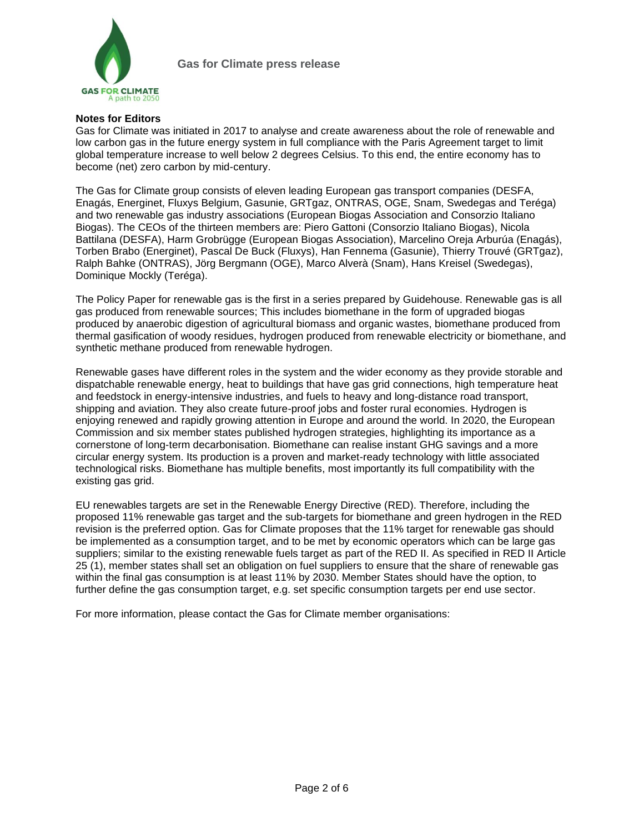

## **Notes for Editors**

Gas for Climate was initiated in 2017 to analyse and create awareness about the role of renewable and low carbon gas in the future energy system in full compliance with the Paris Agreement target to limit global temperature increase to well below 2 degrees Celsius. To this end, the entire economy has to become (net) zero carbon by mid-century.

The Gas for Climate group consists of eleven leading European gas transport companies (DESFA, Enagás, Energinet, Fluxys Belgium, Gasunie, GRTgaz, ONTRAS, OGE, Snam, Swedegas and Teréga) and two renewable gas industry associations (European Biogas Association and Consorzio Italiano Biogas). The CEOs of the thirteen members are: Piero Gattoni (Consorzio Italiano Biogas), Nicola Battilana (DESFA), Harm Grobrügge (European Biogas Association), Marcelino Oreja Arburúa (Enagás), Torben Brabo (Energinet), Pascal De Buck (Fluxys), Han Fennema (Gasunie), Thierry Trouvé (GRTgaz), Ralph Bahke (ONTRAS), Jörg Bergmann (OGE), Marco Alverà (Snam), Hans Kreisel (Swedegas), Dominique Mockly (Teréga).

The Policy Paper for renewable gas is the first in a series prepared by Guidehouse. Renewable gas is all gas produced from renewable sources; This includes biomethane in the form of upgraded biogas produced by anaerobic digestion of agricultural biomass and organic wastes, biomethane produced from thermal gasification of woody residues, hydrogen produced from renewable electricity or biomethane, and synthetic methane produced from renewable hydrogen.

Renewable gases have different roles in the system and the wider economy as they provide storable and dispatchable renewable energy, heat to buildings that have gas grid connections, high temperature heat and feedstock in energy-intensive industries, and fuels to heavy and long-distance road transport, shipping and aviation. They also create future-proof jobs and foster rural economies. Hydrogen is enjoying renewed and rapidly growing attention in Europe and around the world. In 2020, the European Commission and six member states published hydrogen strategies, highlighting its importance as a cornerstone of long-term decarbonisation. Biomethane can realise instant GHG savings and a more circular energy system. Its production is a proven and market-ready technology with little associated technological risks. Biomethane has multiple benefits, most importantly its full compatibility with the existing gas grid.

EU renewables targets are set in the Renewable Energy Directive (RED). Therefore, including the proposed 11% renewable gas target and the sub-targets for biomethane and green hydrogen in the RED revision is the preferred option. Gas for Climate proposes that the 11% target for renewable gas should be implemented as a consumption target, and to be met by economic operators which can be large gas suppliers; similar to the existing renewable fuels target as part of the RED II. As specified in RED II Article 25 (1), member states shall set an obligation on fuel suppliers to ensure that the share of renewable gas within the final gas consumption is at least 11% by 2030. Member States should have the option, to further define the gas consumption target, e.g. set specific consumption targets per end use sector.

For more information, please contact the Gas for Climate member organisations: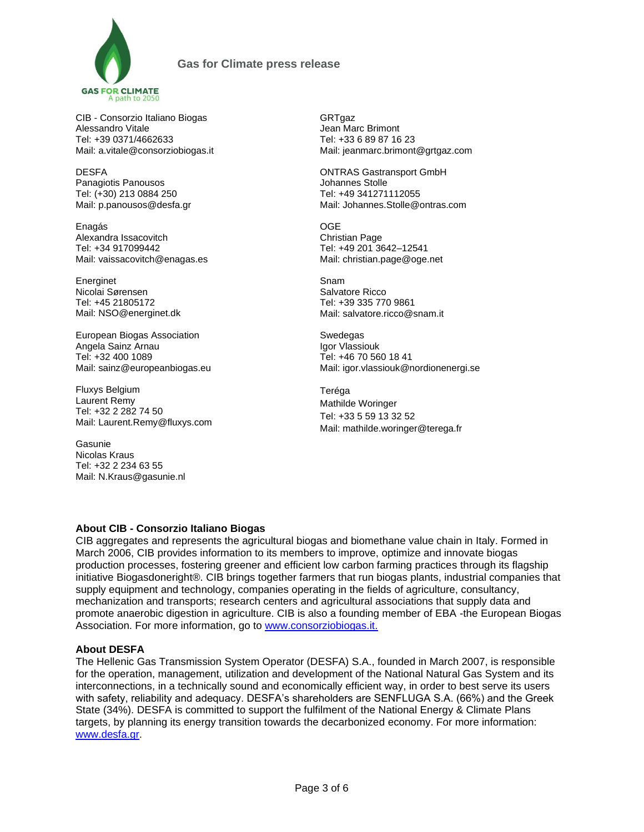

CIB - Consorzio Italiano Biogas Alessandro Vitale Tel: +39 0371/4662633 Mail: [a.vitale@consorziobiogas.it](mailto:eventi@consorziobiogas.it)

DESFA Panagiotis Panousos Tel: (+30) 213 0884 250 Mail: p.panousos@desfa.gr

Enagás Alexandra Issacovitch Tel: +34 917099442 Mail: vaissacovitch@enagas.es

Energinet Nicolai Sørensen Tel: +45 21805172 Mail[: NSO@energinet.dk](mailto:NSO@energinet.dk)

European Biogas Association Angela Sainz Arnau Tel: +32 400 1089 Mail: sainz@europeanbiogas.eu

Fluxys Belgium Laurent Remy Tel: +32 2 282 74 50 Mail: [Laurent.Remy@fluxys.com](mailto:Laurent.Remy@fluxys.com)

Gasunie Nicolas Kraus Tel: +32 2 234 63 55 Mail: [N.Kraus@gasunie.nl](mailto:N.Kraus@gasunie.nl) GRTgaz Jean Marc Brimont Tel: +33 6 89 87 16 23 Mail: [jeanmarc.brimont@grtgaz.com](mailto:jeanmarc.brimont@grtgaz.com)

ONTRAS Gastransport GmbH Johannes Stolle Tel: +49 341271112055 Mail: [Johannes.Stolle@ontras.com](mailto:Johannes.Stolle@ontras.com)

OGE Christian Page Tel: +49 201 3642–12541 Mail: christian.page@oge.net

Snam Salvatore Ricco Tel: +39 335 770 9861 Mail: [salvatore.ricco@snam.it](mailto:salvatore.ricco@snam.it)

Swedegas Igor Vlassiouk Tel: +46 70 560 18 41 Mail: igor.vlassiouk@nordionenergi.se

Teréga Mathilde Woringer Tel: +33 5 59 13 32 52 Mail: [mathilde.woringer@terega.fr](mailto:mathilde.woringer@terega.fr)

# **About CIB - Consorzio Italiano Biogas**

CIB aggregates and represents the agricultural biogas and biomethane value chain in Italy. Formed in March 2006, CIB provides information to its members to improve, optimize and innovate biogas production processes, fostering greener and efficient low carbon farming practices through its flagship initiative Biogasdoneright®. CIB brings together farmers that run biogas plants, industrial companies that supply equipment and technology, companies operating in the fields of agriculture, consultancy, mechanization and transports; research centers and agricultural associations that supply data and promote anaerobic digestion in agriculture. CIB is also a founding member of EBA -the European Biogas Association. For more information, go to [www.consorziobiogas.it.](http://www.consorziobiogas.it/)

# **About DESFA**

The Hellenic Gas Transmission System Operator (DESFA) S.A., founded in March 2007, is responsible for the operation, management, utilization and development of the National Natural Gas System and its interconnections, in a technically sound and economically efficient way, in order to best serve its users with safety, reliability and adequacy. DESFA's shareholders are SENFLUGA S.A. (66%) and the Greek State (34%). DESFA is committed to support the fulfilment of the National Energy & Climate Plans targets, by planning its energy transition towards the decarbonized economy. For more information: [www.desfa.gr.](http://www.desfa.gr/)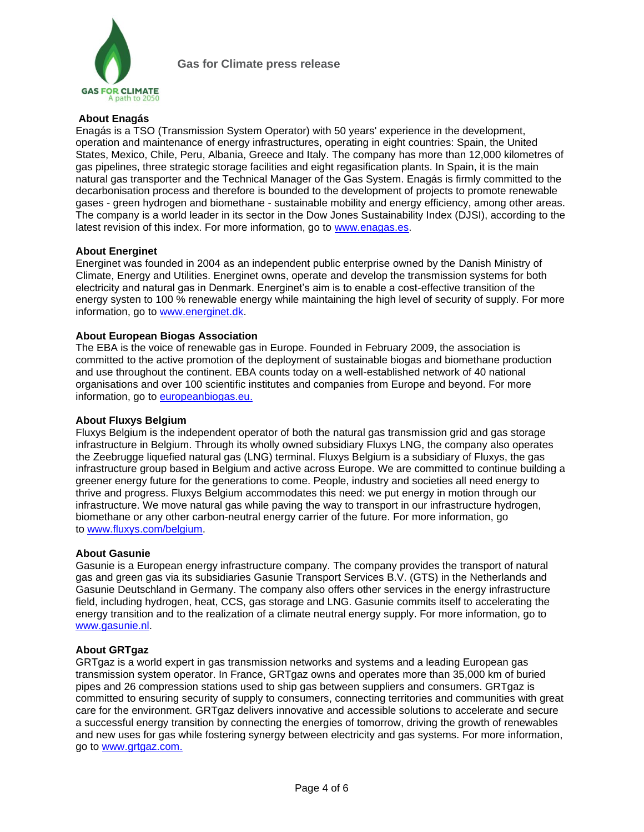

# **About Enagás**

Enagás is a TSO (Transmission System Operator) with 50 years' experience in the development, operation and maintenance of energy infrastructures, operating in eight countries: Spain, the United States, Mexico, Chile, Peru, Albania, Greece and Italy. The company has more than 12,000 kilometres of gas pipelines, three strategic storage facilities and eight regasification plants. In Spain, it is the main natural gas transporter and the Technical Manager of the Gas System. Enagás is firmly committed to the decarbonisation process and therefore is bounded to the development of projects to promote renewable gases - green hydrogen and biomethane - sustainable mobility and energy efficiency, among other areas. The company is a world leader in its sector in the Dow Jones Sustainability Index (DJSI), according to the latest revision of this index. For more information, go to [www.enagas.es.](http://www.enagas.es/)

## **About Energinet**

Energinet was founded in 2004 as an independent public enterprise owned by the Danish Ministry of Climate, Energy and Utilities. Energinet owns, operate and develop the transmission systems for both electricity and natural gas in Denmark. Energinet's aim is to enable a cost-effective transition of the energy systen to 100 % renewable energy while maintaining the high level of security of supply. For more information, go to [www.energinet.dk.](http://www.energinet.dk/)

## **About European Biogas Association**

The EBA is the voice of renewable gas in Europe. Founded in February 2009, the association is committed to the active promotion of the deployment of sustainable biogas and biomethane production and use throughout the continent. EBA counts today on a well-established network of 40 national organisations and over 100 scientific institutes and companies from Europe and beyond. For more information, go to [europeanbiogas.eu.](http://european-biogas.eu/)

#### **About Fluxys Belgium**

Fluxys Belgium is the independent operator of both the natural gas transmission grid and gas storage infrastructure in Belgium. Through its wholly owned subsidiary Fluxys LNG, the company also operates the Zeebrugge liquefied natural gas (LNG) terminal. Fluxys Belgium is a subsidiary of Fluxys, the gas infrastructure group based in Belgium and active across Europe. We are committed to continue building a greener energy future for the generations to come. People, industry and societies all need energy to thrive and progress. Fluxys Belgium accommodates this need: we put energy in motion through our infrastructure. We move natural gas while paving the way to transport in our infrastructure hydrogen, biomethane or any other carbon-neutral energy carrier of the future. For more information, go to [www.fluxys.com/belgium.](http://www.fluxys.com/belgium)

#### **About Gasunie**

Gasunie is a European energy infrastructure company. The company provides the transport of natural gas and green gas via its subsidiaries Gasunie Transport Services B.V. (GTS) in the Netherlands and Gasunie Deutschland in Germany. The company also offers other services in the energy infrastructure field, including hydrogen, heat, CCS, gas storage and LNG. Gasunie commits itself to accelerating the energy transition and to the realization of a climate neutral energy supply. For more information, go to www.gasunie.nl.

#### **About GRTgaz**

GRTgaz is a world expert in gas transmission networks and systems and a leading European gas transmission system operator. In France, GRTgaz owns and operates more than 35,000 km of buried pipes and 26 compression stations used to ship gas between suppliers and consumers. GRTgaz is committed to ensuring security of supply to consumers, connecting territories and communities with great care for the environment. GRTgaz delivers innovative and accessible solutions to accelerate and secure a successful energy transition by connecting the energies of tomorrow, driving the growth of renewables and new uses for gas while fostering synergy between electricity and gas systems. For more information, go to [www.grtgaz.com.](http://www.grtgaz.com/)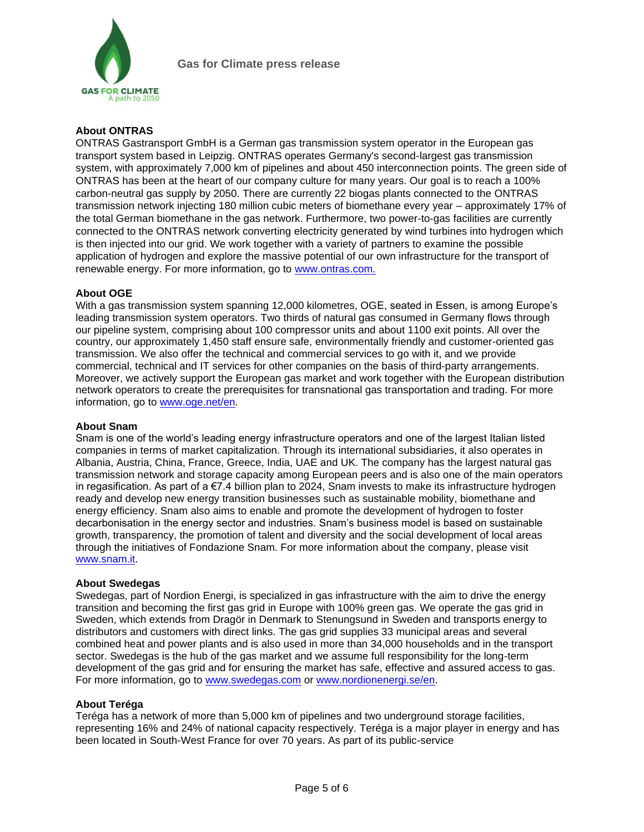

# **About ONTRAS**

ONTRAS Gastransport GmbH is a German gas transmission system operator in the European gas transport system based in Leipzig. ONTRAS operates Germany's second-largest gas transmission system, with approximately 7,000 km of pipelines and about 450 interconnection points. The green side of ONTRAS has been at the heart of our company culture for many years. Our goal is to reach a 100% carbon-neutral gas supply by 2050. There are currently 22 biogas plants connected to the ONTRAS transmission network injecting 180 million cubic meters of biomethane every year – approximately 17% of the total German biomethane in the gas network. Furthermore, two power-to-gas facilities are currently connected to the ONTRAS network converting electricity generated by wind turbines into hydrogen which is then injected into our grid. We work together with a variety of partners to examine the possible application of hydrogen and explore the massive potential of our own infrastructure for the transport of renewable energy. For more information, go to www.ontras.com.

## **About OGE**

With a gas transmission system spanning 12,000 kilometres, OGE, seated in Essen, is among Europe's leading transmission system operators. Two thirds of natural gas consumed in Germany flows through our pipeline system, comprising about 100 compressor units and about 1100 exit points. All over the country, our approximately 1,450 staff ensure safe, environmentally friendly and customer-oriented gas transmission. We also offer the technical and commercial services to go with it, and we provide commercial, technical and IT services for other companies on the basis of third-party arrangements. Moreover, we actively support the European gas market and work together with the European distribution network operators to create the prerequisites for transnational gas transportation and trading. For more information, go to [www.oge.net/en.](https://oge.net/en)

#### **About Snam**

Snam is one of the world's leading energy infrastructure operators and one of the largest Italian listed companies in terms of market capitalization. Through its international subsidiaries, it also operates in Albania, Austria, China, France, Greece, India, UAE and UK. The company has the largest natural gas transmission network and storage capacity among European peers and is also one of the main operators in regasification. As part of a  $\epsilon$ 7.4 billion plan to 2024, Snam invests to make its infrastructure hydrogen ready and develop new energy transition businesses such as sustainable mobility, biomethane and energy efficiency. Snam also aims to enable and promote the development of hydrogen to foster decarbonisation in the energy sector and industries. Snam's business model is based on sustainable growth, transparency, the promotion of talent and diversity and the social development of local areas through the initiatives of Fondazione Snam. For more information about the company, please visit [www.snam.it.](http://www.snam.it/)

#### **About Swedegas**

Swedegas, part of Nordion Energi, is specialized in gas infrastructure with the aim to drive the energy transition and becoming the first gas grid in Europe with 100% green gas. We operate the gas grid in Sweden, which extends from Dragör in Denmark to Stenungsund in Sweden and transports energy to distributors and customers with direct links. The gas grid supplies 33 municipal areas and several combined heat and power plants and is also used in more than 34,000 households and in the transport sector. Swedegas is the hub of the gas market and we assume full responsibility for the long-term development of the gas grid and for ensuring the market has safe, effective and assured access to gas. For more information, go to [www.swedegas.com](http://www.swedegas.com/) or [www.nordionenergi.se/en.](http://www.nordionenergi.se/en)

# **About Teréga**

Teréga has a network of more than 5,000 km of pipelines and two underground storage facilities, representing 16% and 24% of national capacity respectively. Teréga is a major player in energy and has been located in South-West France for over 70 years. As part of its public-service